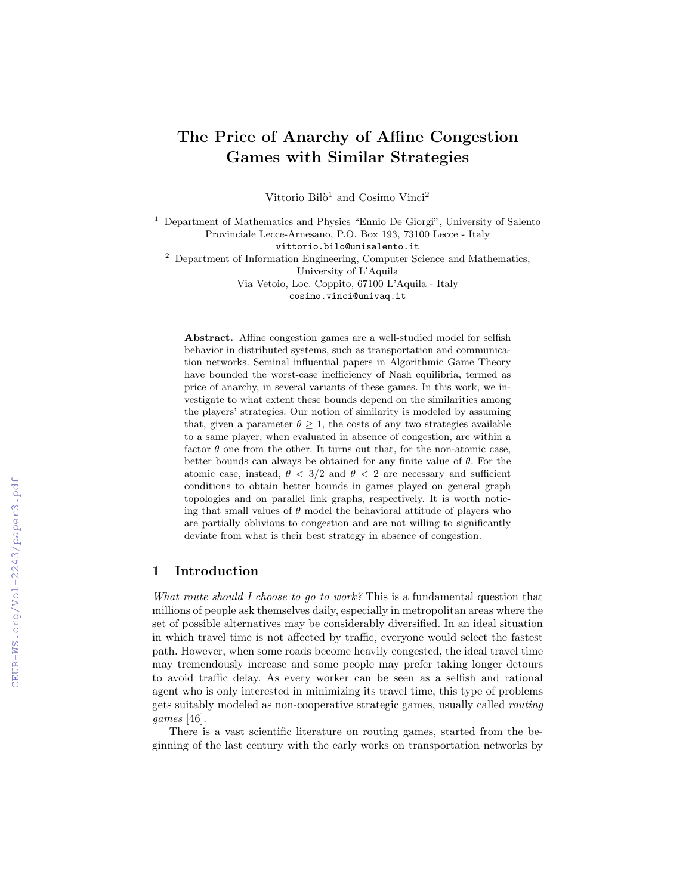# The Price of Anarchy of Affine Congestion Games with Similar Strategies

Vittorio Bilò<sup>1</sup> and Cosimo Vinci<sup>2</sup>

 $^{\rm 1}$  Department of Mathematics and Physics "Ennio De Giorgi", University of Salento Provinciale Lecce-Arnesano, P.O. Box 193, 73100 Lecce - Italy

vittorio.bilo@unisalento.it

<sup>2</sup> Department of Information Engineering, Computer Science and Mathematics,

University of L'Aquila

Via Vetoio, Loc. Coppito, 67100 L'Aquila - Italy cosimo.vinci@univaq.it

Abstract. Affine congestion games are a well-studied model for selfish behavior in distributed systems, such as transportation and communication networks. Seminal influential papers in Algorithmic Game Theory have bounded the worst-case inefficiency of Nash equilibria, termed as price of anarchy, in several variants of these games. In this work, we investigate to what extent these bounds depend on the similarities among the players' strategies. Our notion of similarity is modeled by assuming that, given a parameter  $\theta \geq 1$ , the costs of any two strategies available to a same player, when evaluated in absence of congestion, are within a factor  $\theta$  one from the other. It turns out that, for the non-atomic case, better bounds can always be obtained for any finite value of  $\theta$ . For the atomic case, instead,  $\theta$  < 3/2 and  $\theta$  < 2 are necessary and sufficient conditions to obtain better bounds in games played on general graph topologies and on parallel link graphs, respectively. It is worth noticing that small values of  $\theta$  model the behavioral attitude of players who are partially oblivious to congestion and are not willing to significantly deviate from what is their best strategy in absence of congestion.

## 1 Introduction

What route should I choose to go to work? This is a fundamental question that millions of people ask themselves daily, especially in metropolitan areas where the set of possible alternatives may be considerably diversified. In an ideal situation in which travel time is not affected by traffic, everyone would select the fastest path. However, when some roads become heavily congested, the ideal travel time may tremendously increase and some people may prefer taking longer detours to avoid traffic delay. As every worker can be seen as a selfish and rational agent who is only interested in minimizing its travel time, this type of problems gets suitably modeled as non-cooperative strategic games, usually called routing games [46].

There is a vast scientific literature on routing games, started from the beginning of the last century with the early works on transportation networks by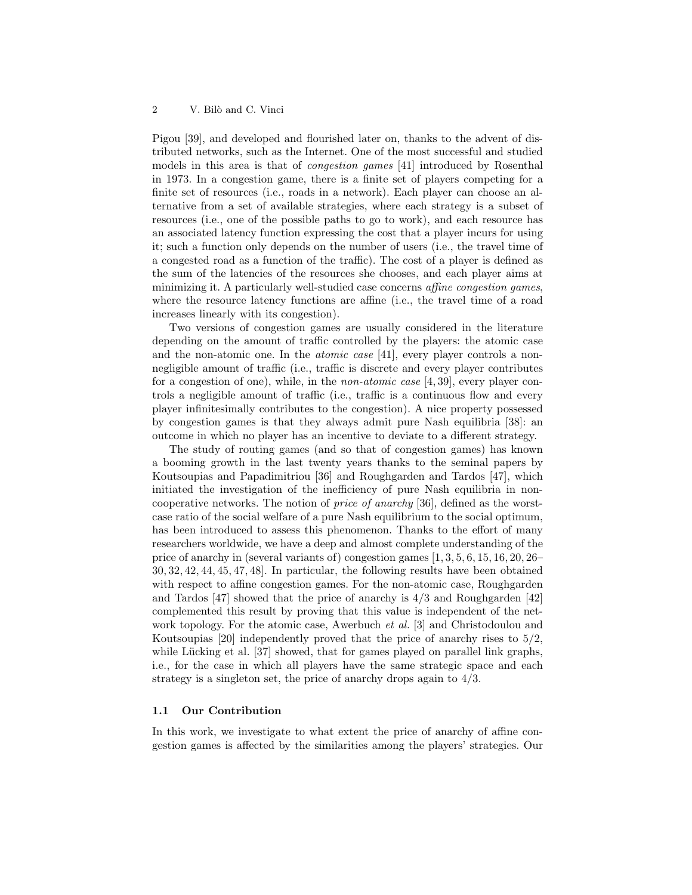Pigou [39], and developed and flourished later on, thanks to the advent of distributed networks, such as the Internet. One of the most successful and studied models in this area is that of congestion games [41] introduced by Rosenthal in 1973. In a congestion game, there is a finite set of players competing for a finite set of resources (i.e., roads in a network). Each player can choose an alternative from a set of available strategies, where each strategy is a subset of resources (i.e., one of the possible paths to go to work), and each resource has an associated latency function expressing the cost that a player incurs for using it; such a function only depends on the number of users (i.e., the travel time of a congested road as a function of the traffic). The cost of a player is defined as the sum of the latencies of the resources she chooses, and each player aims at minimizing it. A particularly well-studied case concerns *affine congestion games*, where the resource latency functions are affine (i.e., the travel time of a road increases linearly with its congestion).

Two versions of congestion games are usually considered in the literature depending on the amount of traffic controlled by the players: the atomic case and the non-atomic one. In the *atomic case* [41], every player controls a nonnegligible amount of traffic (i.e., traffic is discrete and every player contributes for a congestion of one), while, in the *non-atomic case* [4, 39], every player controls a negligible amount of traffic (i.e., traffic is a continuous flow and every player infinitesimally contributes to the congestion). A nice property possessed by congestion games is that they always admit pure Nash equilibria [38]: an outcome in which no player has an incentive to deviate to a different strategy.

The study of routing games (and so that of congestion games) has known a booming growth in the last twenty years thanks to the seminal papers by Koutsoupias and Papadimitriou [36] and Roughgarden and Tardos [47], which initiated the investigation of the inefficiency of pure Nash equilibria in noncooperative networks. The notion of price of anarchy [36], defined as the worstcase ratio of the social welfare of a pure Nash equilibrium to the social optimum, has been introduced to assess this phenomenon. Thanks to the effort of many researchers worldwide, we have a deep and almost complete understanding of the price of anarchy in (several variants of) congestion games [1, 3, 5, 6, 15, 16, 20, 26– 30, 32, 42, 44, 45, 47, 48]. In particular, the following results have been obtained with respect to affine congestion games. For the non-atomic case, Roughgarden and Tardos  $[47]$  showed that the price of anarchy is  $4/3$  and Roughgarden  $[42]$ complemented this result by proving that this value is independent of the network topology. For the atomic case, Awerbuch *et al.* [3] and Christodoulou and Koutsoupias  $[20]$  independently proved that the price of anarchy rises to  $5/2$ , while Lücking et al. [37] showed, that for games played on parallel link graphs, i.e., for the case in which all players have the same strategic space and each strategy is a singleton set, the price of anarchy drops again to 4/3.

#### 1.1 Our Contribution

In this work, we investigate to what extent the price of anarchy of affine congestion games is affected by the similarities among the players' strategies. Our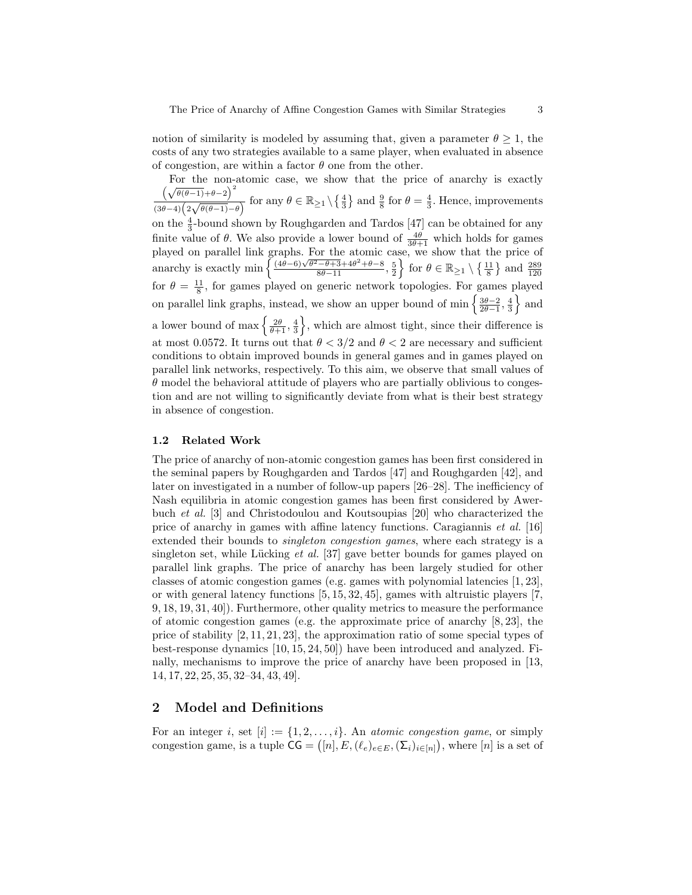notion of similarity is modeled by assuming that, given a parameter  $\theta \geq 1$ , the costs of any two strategies available to a same player, when evaluated in absence of congestion, are within a factor  $\theta$  one from the other.

For the non-atomic case, we show that the price of anarchy is exactly For the non- $\sqrt{(v^{(0)}-1)+v^{(1)}-2}$  for any  $\theta \in \mathbb{R}_{\geq 1} \setminus \{\frac{4}{3}\}\$ and  $\frac{9}{8}$  for  $\theta = \frac{4}{3}$ . Hence, improvements on the  $\frac{4}{3}$ -bound shown by Roughgarden and Tardos [47] can be obtained for any finite value of  $\theta$ . We also provide a lower bound of  $\frac{4\theta}{3\theta+1}$  which holds for games played on parallel link graphs. For the atomic case, we show that the price of played on paranel link graphs. To the atomic ease, we show that the price of anarchy is exactly min  $\left\{\frac{(4\theta-6)\sqrt{\theta^2-\theta+3}+4\theta^2+\theta-8}{8\theta-11}, \frac{5}{2}\right\}$  for  $\theta \in \mathbb{R}_{\geq 1} \setminus \left\{\frac{11}{8}\right\}$  and  $\frac{289}{120}$ for  $\theta = \frac{11}{8}$ , for games played on generic network topologies. For games played on parallel link graphs, instead, we show an upper bound of min  $\left\{\frac{3\theta-2}{2\theta-1},\frac{4}{3}\right\}$  and a lower bound of max  $\left\{\frac{2\theta}{\theta+1}, \frac{4}{3}\right\}$ , which are almost tight, since their difference is at most 0.0572. It turns out that  $\theta < 3/2$  and  $\theta < 2$  are necessary and sufficient conditions to obtain improved bounds in general games and in games played on parallel link networks, respectively. To this aim, we observe that small values of  $\theta$  model the behavioral attitude of players who are partially oblivious to congestion and are not willing to significantly deviate from what is their best strategy in absence of congestion.

#### 1.2 Related Work

The price of anarchy of non-atomic congestion games has been first considered in the seminal papers by Roughgarden and Tardos [47] and Roughgarden [42], and later on investigated in a number of follow-up papers [26–28]. The inefficiency of Nash equilibria in atomic congestion games has been first considered by Awerbuch et al. [3] and Christodoulou and Koutsoupias [20] who characterized the price of anarchy in games with affine latency functions. Caragiannis et al. [16] extended their bounds to singleton congestion games, where each strategy is a singleton set, while Lücking *et al.* [37] gave better bounds for games played on parallel link graphs. The price of anarchy has been largely studied for other classes of atomic congestion games (e.g. games with polynomial latencies  $[1, 23]$ , or with general latency functions [5, 15, 32, 45], games with altruistic players [7, 9, 18, 19, 31, 40]). Furthermore, other quality metrics to measure the performance of atomic congestion games (e.g. the approximate price of anarchy [8, 23], the price of stability [2, 11, 21, 23], the approximation ratio of some special types of best-response dynamics [10, 15, 24, 50]) have been introduced and analyzed. Finally, mechanisms to improve the price of anarchy have been proposed in [13, 14, 17, 22, 25, 35, 32–34, 43, 49].

## 2 Model and Definitions

For an integer i, set  $[i] := \{1, 2, \ldots, i\}$ . An atomic congestion game, or simply congestion game, is a tuple  $\mathsf{CG} = ([n], E, (\ell_e)_{e \in E}, (\Sigma_i)_{i \in [n]})$ , where  $[n]$  is a set of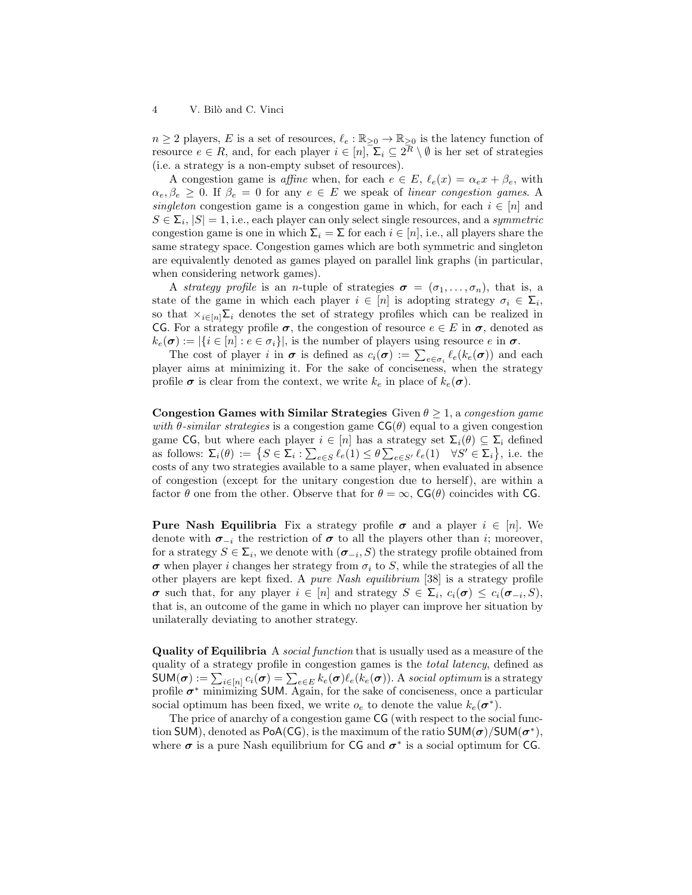$n \geq 2$  players, E is a set of resources,  $\ell_e : \mathbb{R}_{\geq 0} \to \mathbb{R}_{\geq 0}$  is the latency function of resource  $e \in R$ , and, for each player  $i \in [n]$ ,  $\Sigma_i \subseteq 2^R \setminus \emptyset$  is her set of strategies (i.e. a strategy is a non-empty subset of resources).

A congestion game is affine when, for each  $e \in E$ ,  $\ell_e(x) = \alpha_e x + \beta_e$ , with  $\alpha_e, \beta_e \geq 0$ . If  $\beta_e = 0$  for any  $e \in E$  we speak of linear congestion games. A singleton congestion game is a congestion game in which, for each  $i \in [n]$  and  $S \in \Sigma_i, |S| = 1$ , i.e., each player can only select single resources, and a *symmetric* congestion game is one in which  $\Sigma_i = \Sigma$  for each  $i \in [n]$ , i.e., all players share the same strategy space. Congestion games which are both symmetric and singleton are equivalently denoted as games played on parallel link graphs (in particular, when considering network games).

A strategy profile is an n-tuple of strategies  $\sigma = (\sigma_1, \ldots, \sigma_n)$ , that is, a state of the game in which each player  $i \in [n]$  is adopting strategy  $\sigma_i \in \Sigma_i$ , so that  $\times_{i\in[n]}\Sigma_i$  denotes the set of strategy profiles which can be realized in CG. For a strategy profile  $\sigma$ , the congestion of resource  $e \in E$  in  $\sigma$ , denoted as  $k_e(\boldsymbol{\sigma}) := |\{i \in [n] : e \in \sigma_i\}|$ , is the number of players using resource e in  $\boldsymbol{\sigma}$ .

The cost of player *i* in  $\sigma$  is defined as  $c_i(\sigma) := \sum_{e \in \sigma_i} \ell_e(k_e(\sigma))$  and each player aims at minimizing it. For the sake of conciseness, when the strategy profile  $\sigma$  is clear from the context, we write  $k_e$  in place of  $k_e(\sigma)$ .

Congestion Games with Similar Strategies Given  $\theta \geq 1$ , a congestion game with  $\theta$ -similar strategies is a congestion game  $\mathsf{CG}(\theta)$  equal to a given congestion game CG, but where each player  $i \in [n]$  has a strategy set  $\Sigma_i(\theta) \subseteq \Sigma_i$  defined as follows:  $\Sigma_i(\theta) := \left\{ S \in \Sigma_i : \sum_{e \in S} \ell_e(1) \leq \theta \sum_{e \in S'} \ell_e(1) \quad \forall S' \in \Sigma_i \right\}$ , i.e. the costs of any two strategies available to a same player, when evaluated in absence of congestion (except for the unitary congestion due to herself), are within a factor  $\theta$  one from the other. Observe that for  $\theta = \infty$ ,  $\text{CG}(\theta)$  coincides with CG.

**Pure Nash Equilibria** Fix a strategy profile  $\sigma$  and a player  $i \in [n]$ . We denote with  $\sigma_{-i}$  the restriction of  $\sigma$  to all the players other than *i*; moreover, for a strategy  $S \in \Sigma_i$ , we denote with  $(\sigma_{-i}, S)$  the strategy profile obtained from  $\sigma$  when player *i* changes her strategy from  $\sigma_i$  to S, while the strategies of all the other players are kept fixed. A pure Nash equilibrium [38] is a strategy profile  $\sigma$  such that, for any player  $i \in [n]$  and strategy  $S \in \Sigma_i$ ,  $c_i(\sigma) \leq c_i(\sigma_{-i}, S)$ , that is, an outcome of the game in which no player can improve her situation by unilaterally deviating to another strategy.

Quality of Equilibria A *social function* that is usually used as a measure of the quality of a strategy profile in congestion games is the total latency, defined as  $\mathsf{SUM}(\bm{\sigma}):=\sum_{i\in[n]}c_i(\bm{\sigma})=\sum_{e\in E}k_e(\bm{\sigma})\ell_e(k_e(\bm{\sigma})).$  A social optimum is a strategy profile  $\sigma^*$  minimizing SUM. Again, for the sake of conciseness, once a particular social optimum has been fixed, we write  $o_e$  to denote the value  $k_e(\sigma^*)$ .

The price of anarchy of a congestion game CG (with respect to the social function SUM), denoted as PoA(CG), is the maximum of the ratio  $SUM(\sigma)/SUM(\sigma^*),$ where  $\sigma$  is a pure Nash equilibrium for CG and  $\sigma^*$  is a social optimum for CG.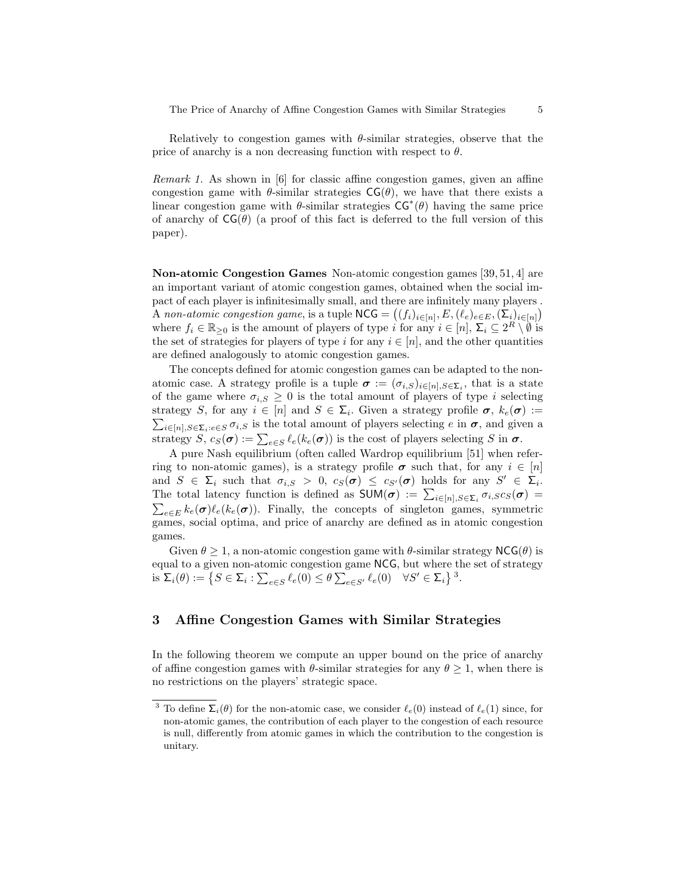The Price of Anarchy of Affine Congestion Games with Similar Strategies 5

Relatively to congestion games with  $\theta$ -similar strategies, observe that the price of anarchy is a non decreasing function with respect to  $\theta$ .

Remark 1. As shown in [6] for classic affine congestion games, given an affine congestion game with  $\theta$ -similar strategies  $CG(\theta)$ , we have that there exists a linear congestion game with  $\theta$ -similar strategies  $CG^*(\theta)$  having the same price of anarchy of  $CG(\theta)$  (a proof of this fact is deferred to the full version of this paper).

Non-atomic Congestion Games Non-atomic congestion games [39, 51, 4] are an important variant of atomic congestion games, obtained when the social impact of each player is infinitesimally small, and there are infinitely many players . A non-atomic congestion game, is a tuple  $NCG = ((f_i)_{i \in [n]}, E, (\ell_e)_{e \in E}, (\Sigma_i)_{i \in [n]})$ where  $f_i \in \mathbb{R}_{\geq 0}$  is the amount of players of type i for any  $i \in [n]$ ,  $\Sigma_i \subseteq 2^R \setminus \emptyset$  is the set of strategies for players of type i for any  $i \in [n]$ , and the other quantities are defined analogously to atomic congestion games.

The concepts defined for atomic congestion games can be adapted to the nonatomic case. A strategy profile is a tuple  $\sigma := (\sigma_{i,S})_{i \in [n], S \in \Sigma_i}$ , that is a state of the game where  $\sigma_{i,S} \geq 0$  is the total amount of players of type i selecting strategy S, for any  $i \in [n]$  and  $S \in \Sigma_i$ . Given a strategy profile  $\sigma$ ,  $k_e(\sigma) :=$  $\sum_{i\in[n],S\in\mathsf{\Sigma}_i:e\in S}\sigma_{i,S}$  is the total amount of players selecting e in  $\sigma$ , and given a strategy  $S, c_S(\sigma) := \sum_{e \in S} \ell_e(k_e(\sigma))$  is the cost of players selecting S in  $\sigma$ .

A pure Nash equilibrium (often called Wardrop equilibrium [51] when referring to non-atomic games), is a strategy profile  $\sigma$  such that, for any  $i \in [n]$ and  $S \in \Sigma_i$  such that  $\sigma_{i,S} > 0$ ,  $c_S(\sigma) \leq c_{S'}(\sigma)$  holds for any  $S' \in \Sigma_i$ . The total latency function is defined as  $\mathsf{SUM}(\sigma) := \sum_{i \in [n], S \in \Sigma_i} \sigma_{i,S} c_S(\sigma)$  $\sum_{e \in E} k_e(\sigma) \ell_e(k_e(\sigma))$ . Finally, the concepts of singleton games, symmetric games, social optima, and price of anarchy are defined as in atomic congestion games.

Given  $\theta \geq 1$ , a non-atomic congestion game with  $\theta$ -similar strategy NCG( $\theta$ ) is equal to a given non-atomic congestion game NCG, but where the set of strategy is  $\Sigma_i(\theta) := \left\{ S \in \Sigma_i : \sum_{e \in S} \ell_e(0) \leq \theta \sum_{e \in S'} \ell_e(0) \quad \forall S' \in \Sigma_i \right\}^3$ .

## 3 Affine Congestion Games with Similar Strategies

In the following theorem we compute an upper bound on the price of anarchy of affine congestion games with  $\theta$ -similar strategies for any  $\theta > 1$ , when there is no restrictions on the players' strategic space.

<sup>&</sup>lt;sup>3</sup> To define  $\Sigma_i(\theta)$  for the non-atomic case, we consider  $\ell_e(0)$  instead of  $\ell_e(1)$  since, for non-atomic games, the contribution of each player to the congestion of each resource is null, differently from atomic games in which the contribution to the congestion is unitary.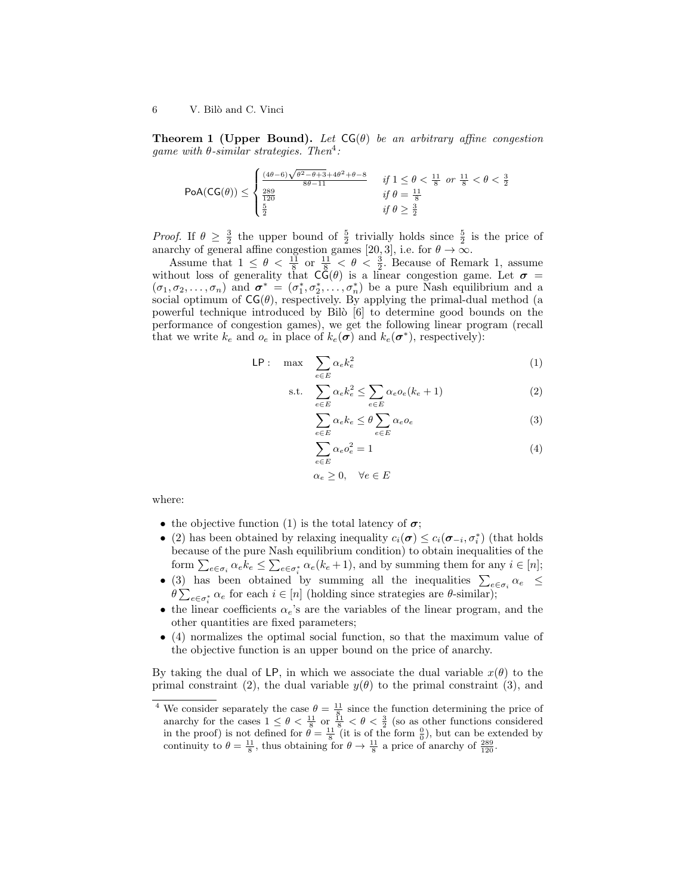**Theorem 1 (Upper Bound).** Let  $CG(\theta)$  be an arbitrary affine congestion game with  $\theta$ -similar strategies. Then<sup>4</sup>:

$$
\text{PoA}(\text{CG}(\theta)) \le \begin{cases} \frac{(4\theta - 6)\sqrt{\theta^2 - \theta + 3} + 4\theta^2 + \theta - 8}{8\theta - 11} & \text{if } 1 \le \theta < \frac{11}{8} \text{ or } \frac{11}{8} < \theta < \frac{3}{2} \\ \frac{289}{120} & \text{if } \theta = \frac{11}{8} \\ \frac{5}{2} & \text{if } \theta \ge \frac{3}{2} \end{cases}
$$

*Proof.* If  $\theta \geq \frac{3}{2}$  the upper bound of  $\frac{5}{2}$  trivially holds since  $\frac{5}{2}$  is the price of 2 *LOOP*. If  $\theta \geq \frac{1}{2}$  the upper bound of  $\frac{1}{2}$  trivially holds since  $\frac{1}{2}$  anarchy of general affine congestion games [20, 3], i.e. for  $\theta \to \infty$ .

Assume that  $1 \leq \theta < \frac{11}{8}$  or  $\frac{11}{8} < \theta < \frac{3}{2}$ . Because of Remark 1, assume without loss of generality that  $\mathsf{C}\tilde{\mathsf{G}}(\theta)$  is a linear congestion game. Let  $\sigma =$  $(\sigma_1, \sigma_2, \ldots, \sigma_n)$  and  $\sigma^* = (\sigma_1^*, \sigma_2^*, \ldots, \sigma_n^*)$  be a pure Nash equilibrium and a social optimum of  $CG(\theta)$ , respectively. By applying the primal-dual method (a powerful technique introduced by  $\text{Bilò } [6]$  to determine good bounds on the performance of congestion games), we get the following linear program (recall that we write  $k_e$  and  $o_e$  in place of  $k_e(\sigma)$  and  $k_e(\sigma^*)$ , respectively):

$$
\text{LP}: \quad \max \quad \sum_{e \in E} \alpha_e k_e^2 \tag{1}
$$

s.t. 
$$
\sum_{e \in E} \alpha_e k_e^2 \le \sum_{e \in E} \alpha_e o_e (k_e + 1)
$$
 (2)

$$
\sum_{e \in E} \alpha_e k_e \le \theta \sum_{e \in E} \alpha_e o_e \tag{3}
$$

$$
\sum_{e \in E} \alpha_e o_e^2 = 1 \tag{4}
$$

 $\alpha_e \geq 0$ ,  $\forall e \in E$ 

where:

- the objective function (1) is the total latency of  $\sigma$ ;
- (2) has been obtained by relaxing inequality  $c_i(\sigma) \leq c_i(\sigma_{-i}, \sigma_i^*)$  (that holds because of the pure Nash equilibrium condition) to obtain inequalities of the form  $\sum_{e \in \sigma_i} \alpha_e k_e \leq \sum_{e \in \sigma_i^*} \alpha_e (k_e + 1)$ , and by summing them for any  $i \in [n]$ ;
- (3) has been obtained by summing all the inequalities  $\sum_{e \in \sigma_i} \alpha_e \leq$  $\theta \sum_{e \in \sigma_i^*} \alpha_e$  for each  $i \in [n]$  (holding since strategies are  $\theta$ -similar);
- the linear coefficients  $\alpha_e$ 's are the variables of the linear program, and the other quantities are fixed parameters;
- (4) normalizes the optimal social function, so that the maximum value of the objective function is an upper bound on the price of anarchy.

By taking the dual of LP, in which we associate the dual variable  $x(\theta)$  to the primal constraint (2), the dual variable  $y(\theta)$  to the primal constraint (3), and

<sup>&</sup>lt;sup>4</sup> We consider separately the case  $\theta = \frac{11}{8}$  since the function determining the price of anarchy for the cases  $1 \leq \theta < \frac{11}{8}$  or  $\frac{11}{8} < \theta < \frac{3}{2}$  (so as other functions considered in the proof) is not defined for  $\theta = \frac{11}{8}$  (it is of the form  $\frac{0}{0}$ ), but can be extended by continuity to  $\theta = \frac{11}{8}$ , thus obtaining for  $\theta \to \frac{11}{8}$  a price of anarchy of  $\frac{289}{120}$ .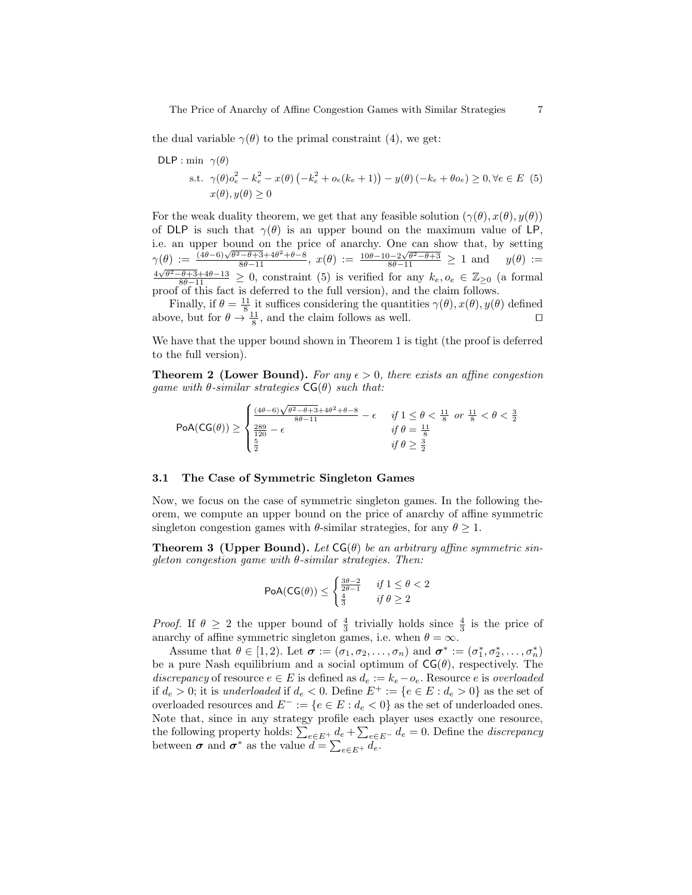the dual variable  $\gamma(\theta)$  to the primal constraint (4), we get:

PLP: min 
$$
\gamma(\theta)
$$

\ns.t.  $\gamma(\theta) o_e^2 - k_e^2 - x(\theta) \left( -k_e^2 + o_e(k_e + 1) \right) - y(\theta) \left( -k_e + \theta o_e \right) \geq 0, \forall e \in E$  (5)

\n $x(\theta), y(\theta) \geq 0$ 

For the weak duality theorem, we get that any feasible solution  $(\gamma(\theta), x(\theta), y(\theta))$ of DLP is such that  $\gamma(\theta)$  is an upper bound on the maximum value of LP, i.e. an upper bound on the price of anarchy. One can show that, by setting  $γ(θ) := \frac{(4θ-6)√θ^2 - θ+3+4θ^2+θ-8}{8θ-11}, x(θ) := \frac{10θ-10-2√θ^2 - θ+3}{8θ-11} ≥ 1$  and  $y(θ) :=$  $\frac{4\sqrt{\theta^2- \theta+3}+4\theta-13}{8\theta-11} \geq 0$ , constraint (5) is verified for any  $k_e, o_e \in \mathbb{Z}_{\geq 0}$  (a formal proof of this fact is deferred to the full version), and the claim follows.

Finally, if  $\theta = \frac{11}{8}$  it suffices considering the quantities  $\gamma(\theta), x(\theta), y(\theta)$  defined above, but for  $\theta \to \frac{11}{8}$ , and the claim follows as well.

We have that the upper bound shown in Theorem 1 is tight (the proof is deferred to the full version).

**Theorem 2 (Lower Bound).** For any  $\epsilon > 0$ , there exists an affine congestion qame with  $\theta$ -similar strategies  $\mathsf{CG}(\theta)$  such that:

$$
\text{PoA}(\text{CG}(\theta)) \ge \begin{cases} \frac{(4\theta - 6)\sqrt{\theta^2 - \theta + 3} + 4\theta^2 + \theta - 8}{8\theta - 11} - \epsilon & \text{if } 1 \le \theta < \frac{11}{8} \text{ or } \frac{11}{8} < \theta < \frac{3}{2} \\ \frac{289}{120} - \epsilon & \text{if } \theta = \frac{11}{8} \\ \frac{5}{2} & \text{if } \theta \ge \frac{3}{2} \end{cases}
$$

### 3.1 The Case of Symmetric Singleton Games

Now, we focus on the case of symmetric singleton games. In the following theorem, we compute an upper bound on the price of anarchy of affine symmetric singleton congestion games with  $\theta$ -similar strategies, for any  $\theta \geq 1$ .

**Theorem 3 (Upper Bound).** Let  $CG(\theta)$  be an arbitrary affine symmetric singleton congestion game with  $\theta$ -similar strategies. Then:

$$
\mathsf{PoA}(\mathsf{CG}(\theta)) \le \begin{cases} \frac{3\theta - 2}{2\theta - 1} & \text{if } 1 \le \theta < 2\\ \frac{4}{3} & \text{if } \theta \ge 2 \end{cases}
$$

*Proof.* If  $\theta \geq 2$  the upper bound of  $\frac{4}{3}$  trivially holds since  $\frac{4}{3}$  is the price of anarchy of affine symmetric singleton games, i.e. when  $\theta = \infty$ .

Assume that  $\theta \in [1, 2)$ . Let  $\boldsymbol{\sigma} := (\sigma_1, \sigma_2, \dots, \sigma_n)$  and  $\boldsymbol{\sigma}^* := (\sigma_1^*, \sigma_2^*, \dots, \sigma_n^*)$ be a pure Nash equilibrium and a social optimum of  $CG(\theta)$ , respectively. The discrepancy of resource  $e \in E$  is defined as  $d_e := k_e - o_e$ . Resource e is *overloaded* if  $d_e > 0$ ; it is *underloaded* if  $d_e < 0$ . Define  $E^+ := \{e \in E : d_e > 0\}$  as the set of overloaded resources and  $E^- := \{e \in E : d_e < 0\}$  as the set of underloaded ones. Note that, since in any strategy profile each player uses exactly one resource, the following property holds:  $\sum_{e \in E^+} d_e + \sum_{e \in E^-} d_e = 0$ . Define the *discrepancy* between  $\sigma$  and  $\sigma^*$  as the value  $\widetilde{d} = \sum_{e \in E^+} d_e$ .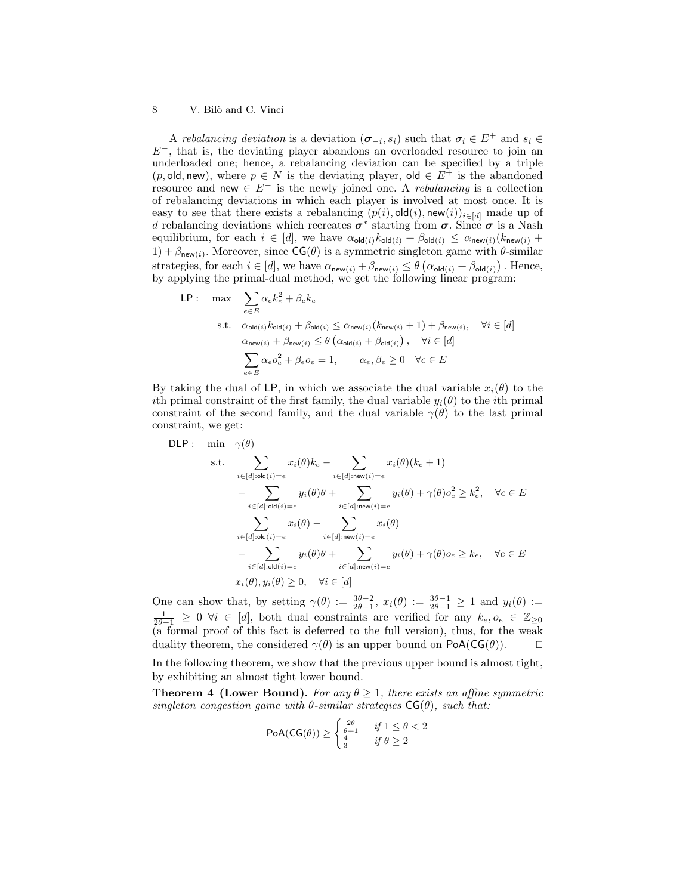A rebalancing deviation is a deviation  $(\sigma_{-i}, s_i)$  such that  $\sigma_i \in E^+$  and  $s_i \in$  $E^-$ , that is, the deviating player abandons an overloaded resource to join an underloaded one; hence, a rebalancing deviation can be specified by a triple  $(p, \text{old}, \text{new})$ , where  $p \in N$  is the deviating player,  $\text{old} \in E^+$  is the abandoned resource and new  $\in E^-$  is the newly joined one. A *rebalancing* is a collection of rebalancing deviations in which each player is involved at most once. It is easy to see that there exists a rebalancing  $(p(i), \text{old}(i), \text{new}(i))_{i \in [d]}$  made up of d rebalancing deviations which recreates  $\sigma^*$  starting from  $\sigma$ . Since  $\sigma$  is a Nash equilibrium, for each  $i \in [d]$ , we have  $\alpha_{\text{old}(i)} k_{\text{old}(i)} + \beta_{\text{old}(i)} \leq \alpha_{\text{new}(i)}(k_{\text{new}(i)} +$  $1) + \beta_{\mathsf{new}(i)}$ . Moreover, since  $\mathsf{CG}(\theta)$  is a symmetric singleton game with  $\theta$ -similar strategies, for each  $i \in [d]$ , we have  $\alpha_{\mathsf{new}(i)} + \beta_{\mathsf{new}(i)} \leq \theta (\alpha_{\mathsf{old}(i)} + \beta_{\mathsf{old}(i)})$ . Hence, by applying the primal-dual method, we get the following linear program:

$$
\begin{aligned}\n\mathsf{LP}: \quad & \max \quad \sum_{e \in E} \alpha_e k_e^2 + \beta_e k_e \\
& \text{s.t.} \quad \alpha_{\text{old}(i)} k_{\text{old}(i)} + \beta_{\text{old}(i)} \le \alpha_{\text{new}(i)} (k_{\text{new}(i)} + 1) + \beta_{\text{new}(i)}, \quad \forall i \in [d] \\
& \alpha_{\text{new}(i)} + \beta_{\text{new}(i)} \le \theta \left( \alpha_{\text{old}(i)} + \beta_{\text{old}(i)} \right), \quad \forall i \in [d] \\
& \sum_{e \in E} \alpha_e o_e^2 + \beta_e o_e = 1, \qquad \alpha_e, \beta_e \ge 0 \quad \forall e \in E\n\end{aligned}
$$

By taking the dual of LP, in which we associate the dual variable  $x_i(\theta)$  to the ith primal constraint of the first family, the dual variable  $y_i(\theta)$  to the *i*th primal constraint of the second family, and the dual variable  $\gamma(\theta)$  to the last primal constraint, we get:

**DLP**: 
$$
\min \quad \gamma(\theta)
$$

\ns.t. 
$$
\sum_{i \in [d]: \text{old}(i) = e} x_i(\theta) k_e - \sum_{i \in [d]: \text{new}(i) = e} x_i(\theta)(k_e + 1)
$$

\n
$$
- \sum_{i \in [d]: \text{old}(i) = e} y_i(\theta) \theta + \sum_{i \in [d]: \text{new}(i) = e} y_i(\theta) + \gamma(\theta) o_e^2 \geq k_e^2, \quad \forall e \in E
$$

\n
$$
\sum_{i \in [d]: \text{old}(i) = e} x_i(\theta) - \sum_{i \in [d]: \text{new}(i) = e} x_i(\theta)
$$

\n
$$
- \sum_{i \in [d]: \text{old}(i) = e} y_i(\theta) \theta + \sum_{i \in [d]: \text{new}(i) = e} y_i(\theta) + \gamma(\theta) o_e \geq k_e, \quad \forall e \in E
$$

\n
$$
x_i(\theta), y_i(\theta) \geq 0, \quad \forall i \in [d]
$$

One can show that, by setting  $\gamma(\theta) := \frac{3\theta - 2}{2\theta - 1}$ ,  $x_i(\theta) := \frac{3\theta - 1}{2\theta - 1} \geq 1$  and  $y_i(\theta) :=$  $\frac{1}{2\theta-1}$  ≥ 0  $\forall i \in [d]$ , both dual constraints are verified for any  $k_e, o_e \in \mathbb{Z}_{\geq 0}$ (a formal proof of this fact is deferred to the full version), thus, for the weak duality theorem, the considered  $\gamma(\theta)$  is an upper bound on PoA(CG( $\theta$ )).  $\Box$ 

In the following theorem, we show that the previous upper bound is almost tight, by exhibiting an almost tight lower bound.

**Theorem 4 (Lower Bound).** For any  $\theta \geq 1$ , there exists an affine symmetric singleton congestion game with  $\theta$ -similar strategies  $CG(\theta)$ , such that:

$$
\mathsf{PoA}(\mathsf{CG}(\theta)) \ge \begin{cases} \frac{2\theta}{\theta+1} & \text{if } 1 \le \theta < 2\\ \frac{4}{3} & \text{if } \theta \ge 2 \end{cases}
$$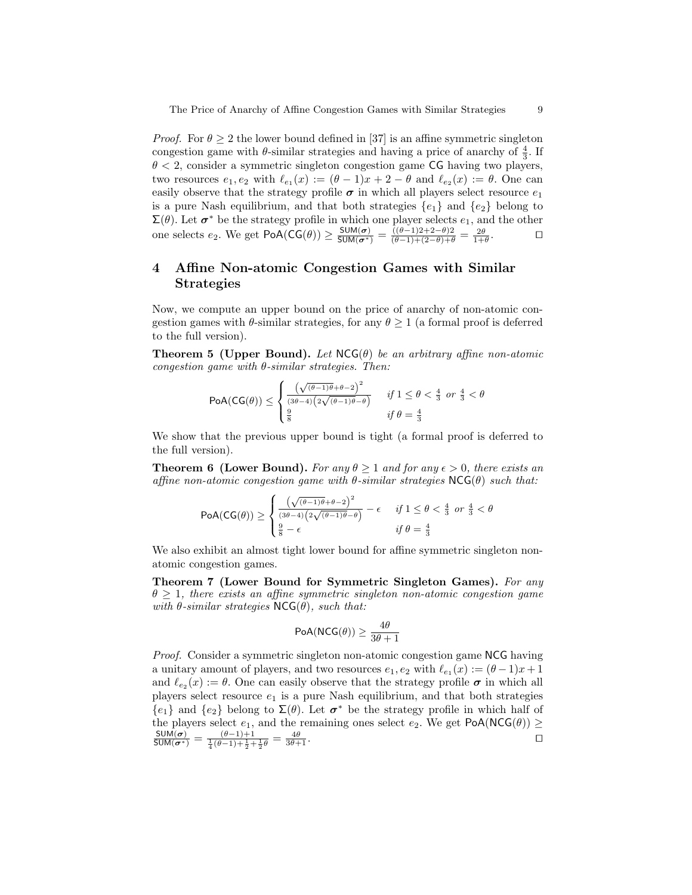*Proof.* For  $\theta \geq 2$  the lower bound defined in [37] is an affine symmetric singleton congestion game with  $\theta$ -similar strategies and having a price of anarchy of  $\frac{4}{3}$ . If  $\theta$  < 2, consider a symmetric singleton congestion game CG having two players, two resources  $e_1, e_2$  with  $\ell_{e_1}(x) := (\theta - 1)x + 2 - \theta$  and  $\ell_{e_2}(x) := \theta$ . One can easily observe that the strategy profile  $\sigma$  in which all players select resource  $e_1$ is a pure Nash equilibrium, and that both strategies  $\{e_1\}$  and  $\{e_2\}$  belong to  $\Sigma(\theta)$ . Let  $\sigma^*$  be the strategy profile in which one player selects  $e_1$ , and the other one selects  $e_2$ . We get  $\text{PoA}(\text{CG}(\theta)) \ge \frac{\text{SUM}(\sigma)}{\text{SUM}(\sigma^*)} = \frac{((\theta-1)2+2-\theta)2}{(\theta-1)+(2-\theta)+\theta} = \frac{2\theta}{1+\theta}$  $\Box$ 

# 4 Affine Non-atomic Congestion Games with Similar Strategies

Now, we compute an upper bound on the price of anarchy of non-atomic congestion games with  $\theta$ -similar strategies, for any  $\theta \geq 1$  (a formal proof is deferred to the full version).

**Theorem 5 (Upper Bound).** Let  $NCG(\theta)$  be an arbitrary affine non-atomic congestion game with  $\theta$ -similar strategies. Then:

$$
\text{PoA}(\text{CG}(\theta)) \leq \begin{cases} \frac{\left(\sqrt{(\theta-1)\theta}+\theta-2\right)^2}{(3\theta-4)\left(2\sqrt{(\theta-1)\theta}-\theta\right)} & \text{ if } 1 \leq \theta < \frac{4}{3} \text{ or } \frac{4}{3} < \theta\\ \frac{9}{8} & \text{ if } \theta = \frac{4}{3} \end{cases}
$$

We show that the previous upper bound is tight (a formal proof is deferred to the full version).

**Theorem 6 (Lower Bound).** For any  $\theta > 1$  and for any  $\epsilon > 0$ , there exists an affine non-atomic congestion game with  $\theta$ -similar strategies  $NCG(\theta)$  such that:

$$
\text{PoA}(\text{CG}(\theta)) \ge \begin{cases} \frac{\left(\sqrt{(\theta-1)\theta}+\theta-2\right)^2}{(3\theta-4)\left(2\sqrt{(\theta-1)\theta}-\theta\right)}-\epsilon & \text{ if } 1 \le \theta < \frac{4}{3} \text{ or } \frac{4}{3} < \theta \\ \frac{9}{8}-\epsilon & \text{ if } \theta = \frac{4}{3} \end{cases}
$$

We also exhibit an almost tight lower bound for affine symmetric singleton nonatomic congestion games.

Theorem 7 (Lower Bound for Symmetric Singleton Games). For any  $\theta \geq 1$ , there exists an affine symmetric singleton non-atomic congestion game with  $\theta$ -similar strategies  $NCG(\theta)$ , such that:

$$
\text{PoA}(\text{NCG}(\theta)) \geq \frac{4\theta}{3\theta+1}
$$

Proof. Consider a symmetric singleton non-atomic congestion game NCG having a unitary amount of players, and two resources  $e_1, e_2$  with  $\ell_{e_1}(x) := (\theta - 1)x + 1$ and  $\ell_{e_2}(x) := \theta$ . One can easily observe that the strategy profile  $\sigma$  in which all players select resource  $e_1$  is a pure Nash equilibrium, and that both strategies  ${e_1}$  and  ${e_2}$  belong to  $\Sigma(\theta)$ . Let  $\sigma^*$  be the strategy profile in which half of the players select  $e_1$ , and the remaining ones select  $e_2$ . We get PoA(NCG( $\theta$ ))  $\geq$  $\frac{\mathsf{SUM}(\bm{\sigma})}{\mathsf{SUM}(\bm{\sigma}^*)} = \frac{(\theta-1)+1}{\frac{1}{4}(\theta-1)+\frac{1}{2}+\frac{1}{2}\theta} = \frac{4\theta}{3\theta+1}$  $\frac{4\theta}{3\theta+1}$ .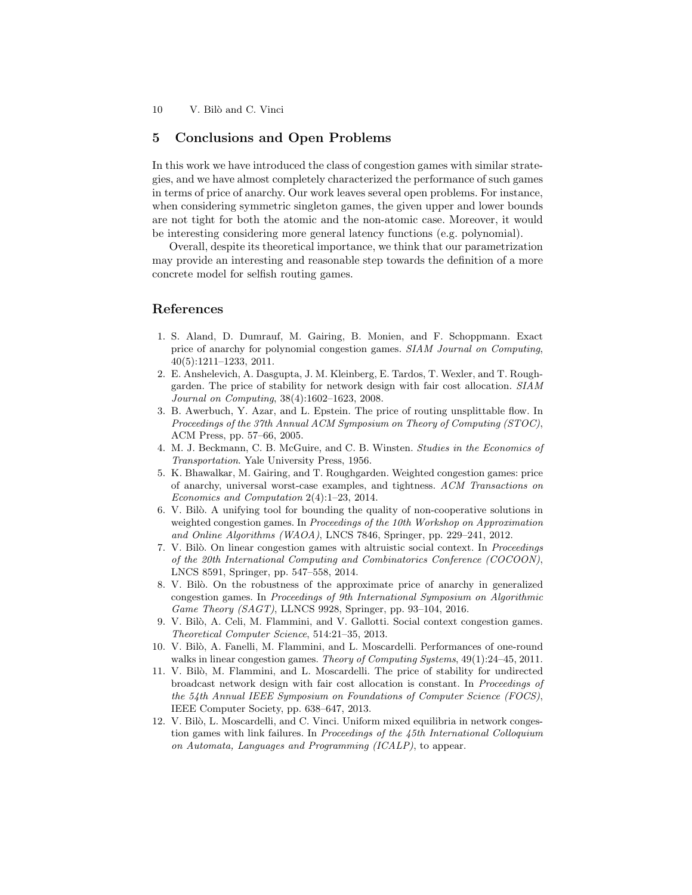## 5 Conclusions and Open Problems

In this work we have introduced the class of congestion games with similar strategies, and we have almost completely characterized the performance of such games in terms of price of anarchy. Our work leaves several open problems. For instance, when considering symmetric singleton games, the given upper and lower bounds are not tight for both the atomic and the non-atomic case. Moreover, it would be interesting considering more general latency functions (e.g. polynomial).

Overall, despite its theoretical importance, we think that our parametrization may provide an interesting and reasonable step towards the definition of a more concrete model for selfish routing games.

## References

- 1. S. Aland, D. Dumrauf, M. Gairing, B. Monien, and F. Schoppmann. Exact price of anarchy for polynomial congestion games. SIAM Journal on Computing, 40(5):1211–1233, 2011.
- 2. E. Anshelevich, A. Dasgupta, J. M. Kleinberg, E. Tardos, T. Wexler, and T. Roughgarden. The price of stability for network design with fair cost allocation. SIAM Journal on Computing, 38(4):1602–1623, 2008.
- 3. B. Awerbuch, Y. Azar, and L. Epstein. The price of routing unsplittable flow. In Proceedings of the 37th Annual ACM Symposium on Theory of Computing (STOC), ACM Press, pp. 57–66, 2005.
- 4. M. J. Beckmann, C. B. McGuire, and C. B. Winsten. Studies in the Economics of Transportation. Yale University Press, 1956.
- 5. K. Bhawalkar, M. Gairing, and T. Roughgarden. Weighted congestion games: price of anarchy, universal worst-case examples, and tightness. ACM Transactions on Economics and Computation 2(4):1–23, 2014.
- 6. V. Bilò. A unifying tool for bounding the quality of non-cooperative solutions in weighted congestion games. In Proceedings of the 10th Workshop on Approximation and Online Algorithms (WAOA), LNCS 7846, Springer, pp. 229–241, 2012.
- 7. V. Bilò. On linear congestion games with altruistic social context. In *Proceedings* of the 20th International Computing and Combinatorics Conference (COCOON), LNCS 8591, Springer, pp. 547–558, 2014.
- 8. V. Bilò. On the robustness of the approximate price of anarchy in generalized congestion games. In Proceedings of 9th International Symposium on Algorithmic Game Theory (SAGT), LLNCS 9928, Springer, pp. 93–104, 2016.
- 9. V. Bilò, A. Celi, M. Flammini, and V. Gallotti. Social context congestion games. Theoretical Computer Science, 514:21–35, 2013.
- 10. V. Bilò, A. Fanelli, M. Flammini, and L. Moscardelli. Performances of one-round walks in linear congestion games. Theory of Computing Systems,  $49(1):24-45, 2011$ .
- 11. V. Bilò, M. Flammini, and L. Moscardelli. The price of stability for undirected broadcast network design with fair cost allocation is constant. In Proceedings of the 54th Annual IEEE Symposium on Foundations of Computer Science (FOCS), IEEE Computer Society, pp. 638–647, 2013.
- 12. V. Bilò, L. Moscardelli, and C. Vinci. Uniform mixed equilibria in network congestion games with link failures. In Proceedings of the 45th International Colloquium on Automata, Languages and Programming (ICALP), to appear.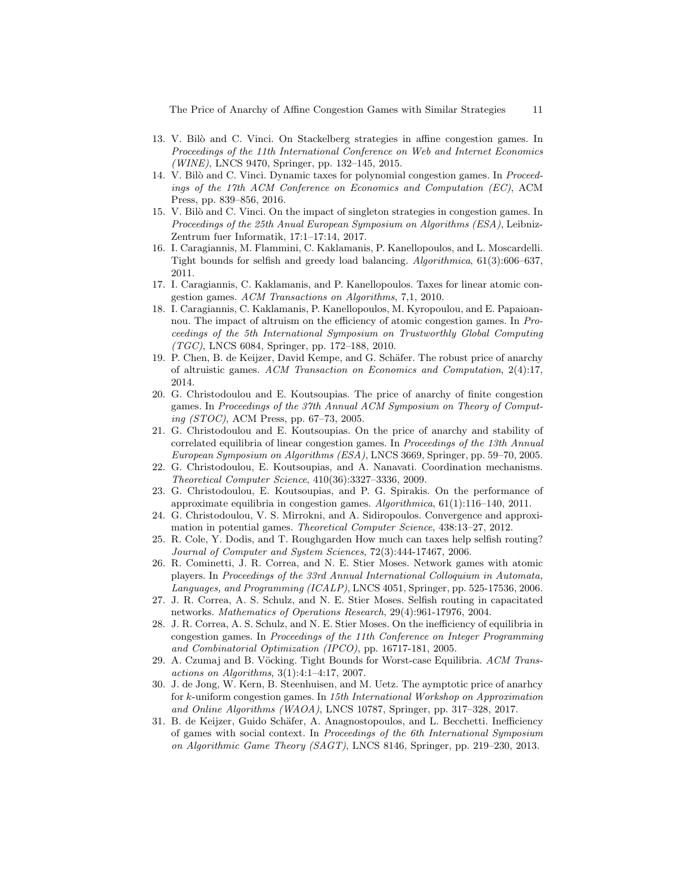The Price of Anarchy of Affine Congestion Games with Similar Strategies 11

- 13. V. Bil`o and C. Vinci. On Stackelberg strategies in affine congestion games. In Proceedings of the 11th International Conference on Web and Internet Economics (WINE), LNCS 9470, Springer, pp. 132–145, 2015.
- 14. V. Bilò and C. Vinci. Dynamic taxes for polynomial congestion games. In Proceedings of the 17th ACM Conference on Economics and Computation (EC), ACM Press, pp. 839–856, 2016.
- 15. V. Bil`o and C. Vinci. On the impact of singleton strategies in congestion games. In Proceedings of the 25th Anual European Symposium on Algorithms (ESA), Leibniz-Zentrum fuer Informatik, 17:1–17:14, 2017.
- 16. I. Caragiannis, M. Flammini, C. Kaklamanis, P. Kanellopoulos, and L. Moscardelli. Tight bounds for selfish and greedy load balancing. Algorithmica, 61(3):606–637, 2011.
- 17. I. Caragiannis, C. Kaklamanis, and P. Kanellopoulos. Taxes for linear atomic congestion games. ACM Transactions on Algorithms, 7,1, 2010.
- 18. I. Caragiannis, C. Kaklamanis, P. Kanellopoulos, M. Kyropoulou, and E. Papaioannou. The impact of altruism on the efficiency of atomic congestion games. In Proceedings of the 5th International Symposium on Trustworthly Global Computing  $(TGC)$ , LNCS 6084, Springer, pp. 172–188, 2010.
- 19. P. Chen, B. de Keijzer, David Kempe, and G. Schäfer. The robust price of anarchy of altruistic games. ACM Transaction on Economics and Computation, 2(4):17, 2014.
- 20. G. Christodoulou and E. Koutsoupias. The price of anarchy of finite congestion games. In Proceedings of the 37th Annual ACM Symposium on Theory of Computing (STOC), ACM Press, pp. 67–73, 2005.
- 21. G. Christodoulou and E. Koutsoupias. On the price of anarchy and stability of correlated equilibria of linear congestion games. In Proceedings of the 13th Annual European Symposium on Algorithms (ESA), LNCS 3669, Springer, pp. 59–70, 2005.
- 22. G. Christodoulou, E. Koutsoupias, and A. Nanavati. Coordination mechanisms. Theoretical Computer Science, 410(36):3327–3336, 2009.
- 23. G. Christodoulou, E. Koutsoupias, and P. G. Spirakis. On the performance of approximate equilibria in congestion games. Algorithmica, 61(1):116–140, 2011.
- 24. G. Christodoulou, V. S. Mirrokni, and A. Sidiropoulos. Convergence and approximation in potential games. Theoretical Computer Science, 438:13–27, 2012.
- 25. R. Cole, Y. Dodis, and T. Roughgarden How much can taxes help selfish routing? Journal of Computer and System Sciences, 72(3):444-17467, 2006.
- 26. R. Cominetti, J. R. Correa, and N. E. Stier Moses. Network games with atomic players. In Proceedings of the 33rd Annual International Colloquium in Automata, Languages, and Programming (ICALP), LNCS 4051, Springer, pp. 525-17536, 2006.
- 27. J. R. Correa, A. S. Schulz, and N. E. Stier Moses. Selfish routing in capacitated networks. Mathematics of Operations Research, 29(4):961-17976, 2004.
- 28. J. R. Correa, A. S. Schulz, and N. E. Stier Moses. On the inefficiency of equilibria in congestion games. In Proceedings of the 11th Conference on Integer Programming and Combinatorial Optimization (IPCO), pp. 16717-181, 2005.
- 29. A. Czumaj and B. Vöcking. Tight Bounds for Worst-case Equilibria. ACM Transactions on Algorithms, 3(1):4:1–4:17, 2007.
- 30. J. de Jong, W. Kern, B. Steenhuisen, and M. Uetz. The aymptotic price of anarhcy for k-uniform congestion games. In 15th International Workshop on Approximation and Online Algorithms (WAOA), LNCS 10787, Springer, pp. 317–328, 2017.
- 31. B. de Keijzer, Guido Schäfer, A. Anagnostopoulos, and L. Becchetti. Inefficiency of games with social context. In Proceedings of the 6th International Symposium on Algorithmic Game Theory (SAGT), LNCS 8146, Springer, pp. 219–230, 2013.